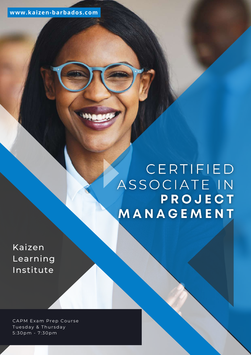# CERTIFIED ASSOCIATE IN PROJECT MANAGEMENT

Kaizen Learning Institute

CAPM Exam Prep Course Tuesday & Thursday 5:30pm - 7:30pm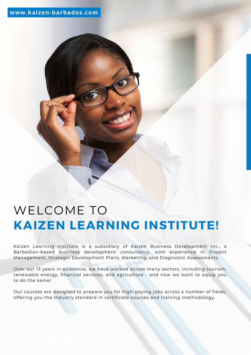## **www.kaizen-barbados.com**

# WELCOME TO **KAIZEN LEARNING INSTITUTE!**

Kaizen Learning Institute is a subsidiary of Kaizen Business Development Inc., a Barbadian-based business development consultancy, with experience in Project Management, Strategic Development Plans, Marketing, and Diagnostic Assessments.

Over our 13 years in existence, we have worked across many sectors, including tourism, renewable energy, financial services, and agriculture - and now we want to equip you to do the same!

Our courses are designed to prepare you for high-paying jobs across a number of fields, offering you the industry standard in certificate courses and training methodology.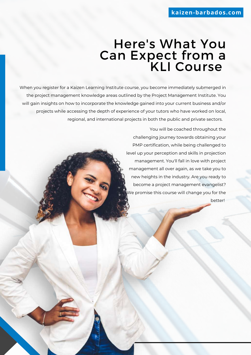# Here's What You Can Expect from a KLI Course

When you register for a Kaizen Learning Institute course, you become immediately submerged in the project management knowledge areas outlined by the Project Management Institute. You will gain insights on how to incorporate the knowledge gained into your current business and/or projects while accessing the depth of experience of your tutors who have worked on local, regional, and international projects in both the public and private sectors.

> You will be coached throughout the challenging journey towards obtaining your PMP certification, while being challenged to level up your perception and skills in projection management. You'll fall in love with project management all over again, as we take you to new heights in the industry. Are you ready to become a project management evangelist? We promise this course will change you for the better!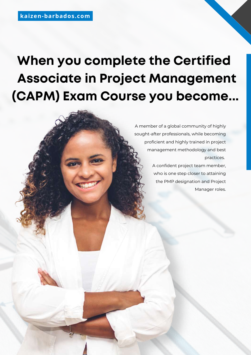# **When you complete the Certified Associate in Project Management (CAPM) Exam Course you become...**

A member of a global community of highly sought-after professionals, while becoming proficient and highly trained in project management methodology and best practices.

> A confident project team member, who is one step closer to attaining the PMP designation and Project Manager roles.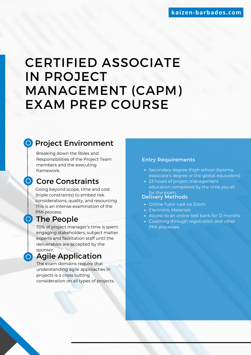# CERTIFIED ASSOCIATE IN PROJECT MANAGEMENT (CAPM) EXAM PREP COURSE

# **O** Project Environment

Breaking down the Roles and Responsibilities of the Project Team members and the executing framework.

# **O** Core Constraints

Going beyond scope, time and cost (triple constraints) to embed risk considerations, quality, and resourcing. This is an intense examination of the PMI process.

# **O** The People

70% of project manager's time is spent engaging stakeholders, subject matter experts and facilitation staff until the deliverables are accepted by the sponsor.

# **O** Agile Application

The exam domains require that understanding agile approaches in projects is a cross cutting consideration on all types of projects.

#### Entry Requirements

- Secondary degree (high school diploma, associate's degree or the global equivalent)
- 23 hours of project management education completed by the time you sit for the exam.

### Delivery Methods

- Online Tutor-Led via Zoom
- Electronic Materials
- Access to an online test bank for 12 months
- Coaching through registration and other PMI processes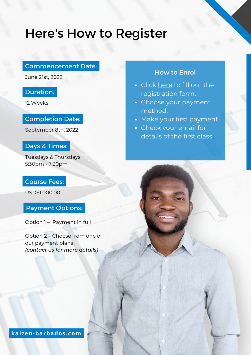# Here's How to Register

## Commencement Date:

June 21st, 2022

# Duration:

12 Weeks

## Completion Date:

September 8th, 2022

## Days & Times:

Tuesdays & Thursdays 5:30pm - 7:30pm

## Course Fees:

USD\$1,000.00

## Payment Options:

Option 1 – Payment in full

Option 2 – Choose from one of our payment plans *(contact us for more details)*

## How to Enrol

- Click [here](https://docs.google.com/forms/d/e/1FAIpQLSfun4BkELqghMt2f_-NmVaFnmKbMH4aUDbEUix23YaqpOd5fA/viewform) to fill out the registration form.
- Choose your payment method.
- Make your first payment.
- Check your email for details of the first class.

**kaizen-barbados.com**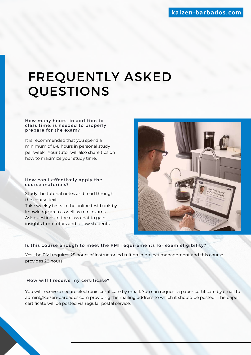# FREQUENTLY ASKED QUESTIONS

#### How many hours, in addition to class time, is needed to properly prepare for the exam?

It is recommended that you spend a minimum of 6-8 hours in personal study per week. Your tutor will also share tips on how to maximize your study time.

#### How can I effectively apply the course materials?

Study the tutorial notes and read through the course text.

Take weekly tests in the online test bank by knowledge area as well as mini exams. Ask questions in the class chat to gain insights from tutors and fellow students.



#### Is this course enough to meet the PMI requirements for exam eligibility?

Yes, the PMI requires 25 hours of instructor led tuition in project management and this course provides 28 hours.

#### How will I receive my certificate?

You will receive a secure electronic certificate by email. You can request a paper certificate by email to [admin@kaizen-barbados.com](mailto:admin@kaizen-barbados.com) providing the mailing address to which it should be posted. The paper certificate will be posted via regular postal service.